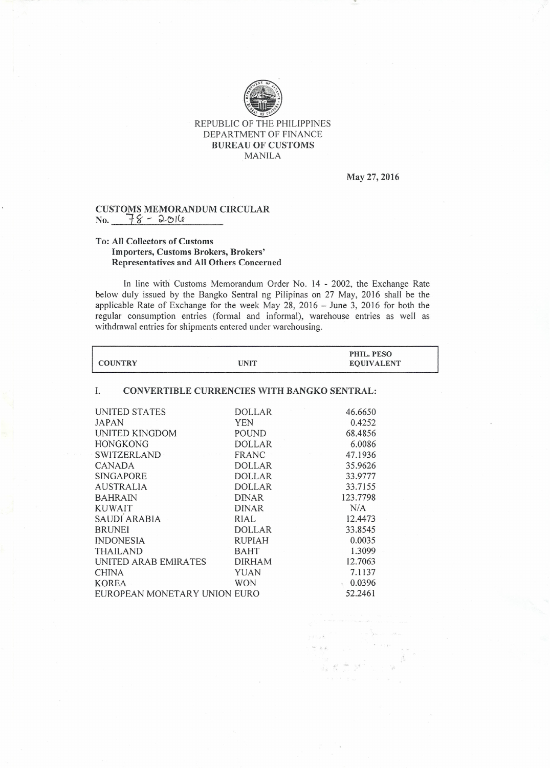

## REPUBLIC OF THE PHILIPPINES DEPARTMENT OF FINANCE BUREAU OF CUSTOMS MANILA

May 27, 2016

## CUSTOMS MEMORANDUM CIRCULAI<br>No. <u>78 - 2014</u>

## To: All Collectors of Customs Importers, Customs Brokers, Brokers' Representatives and All Others Concerned

In line with Customs Memorandum Order No. 14 - 2002, the Exchange Rate below duly issued by the Bangko Sentral ng Pilipinas on 27 May, 2016 shall be the applicable Rate of Exchange for the week May 28, 2016 - June 3, 2016 for both the regular consumption entries (formal and informal), warehouse entries as well as withdrawal entries for shipments entered under warehousing.

| <b>COUNTRY</b>                                    | <b>UNIT</b>   | PHIL. PESO<br><b>EQUIVALENT</b> |  |
|---------------------------------------------------|---------------|---------------------------------|--|
| CONVERTIBLE CURRENCIES WITH BANGKO SENTRAL:<br>I. |               |                                 |  |
| UNITED STATES                                     | <b>DOLLAR</b> | 46.6650                         |  |
| <b>JAPAN</b>                                      | <b>YEN</b>    | 0.4252                          |  |
| UNITED KINGDOM                                    | <b>POUND</b>  | 68.4856                         |  |
| <b>HONGKONG</b>                                   | <b>DOLLAR</b> | 6.0086                          |  |
| SWITZERLAND                                       | FRANC         | 47.1936                         |  |
| <b>CANADA</b>                                     | <b>DOLLAR</b> | 35.9626                         |  |
| <b>SINGAPORE</b>                                  | <b>DOLLAR</b> | 33.9777                         |  |
| <b>AUSTRALIA</b>                                  | <b>DOLLAR</b> | 33.7155                         |  |
| <b>BAHRAIN</b>                                    | <b>DINAR</b>  | 123,7798                        |  |
| <b>KUWAIT</b>                                     | <b>DINAR</b>  | N/A                             |  |
| SAUDI ARABIA                                      | RIAL          | 12.4473                         |  |
| <b>BRUNEI</b>                                     | <b>DOLLAR</b> | 33.8545                         |  |
| <b>INDONESIA</b>                                  | RUPIAH        | 0.0035                          |  |
| <b>THAILAND</b>                                   | <b>BAHT</b>   | 1.3099                          |  |
| UNITED ARAB EMIRATES                              | <b>DIRHAM</b> | 12.7063                         |  |
| <b>CHINA</b>                                      | YUAN          | 7.1137                          |  |
| KOREA                                             | <b>WON</b>    | 0.0396                          |  |
| EUROPEAN MONETARY UNION EURO                      |               | 52.2461                         |  |
|                                                   |               |                                 |  |